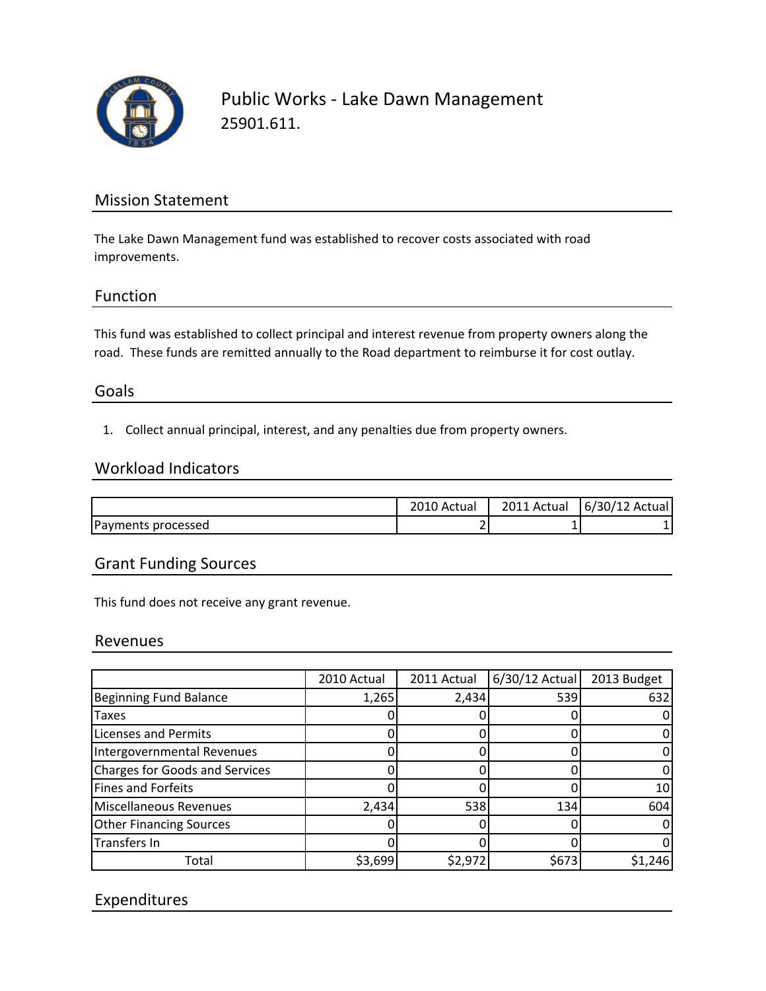

Public Works ‐ Lake Dawn Management 25901.611.

# Mission Statement

The Lake Dawn Management fund was established to recover costs associated with road improvements.

## Function

This fund was established to collect principal and interest revenue from property owners along the road. These funds are remitted annually to the Road department to reimburse it for cost outlay.

## Goals

1. Collect annual principal, interest, and any penalties due from property owners.

#### Workload Indicators

|                    | Actual        | 2011 Actual | 6/30/12 Actual |
|--------------------|---------------|-------------|----------------|
| Payments processed | -<br><u>.</u> |             |                |

## Grant Funding Sources

This fund does not receive any grant revenue.

#### Revenues

|                                       | 2010 Actual | 2011 Actual | $6/30/12$ Actual | 2013 Budget |
|---------------------------------------|-------------|-------------|------------------|-------------|
| <b>Beginning Fund Balance</b>         | 1,265       | 2,434       | 539              | 632         |
| <b>Taxes</b>                          |             |             |                  |             |
| <b>Licenses and Permits</b>           |             |             |                  |             |
| Intergovernmental Revenues            |             |             |                  |             |
| <b>Charges for Goods and Services</b> |             |             |                  |             |
| Fines and Forfeits                    |             |             |                  | 10          |
| Miscellaneous Revenues                | 2,434       | 538         | 134              | 604         |
| <b>Other Financing Sources</b>        |             |             |                  |             |
| Transfers In                          |             |             |                  |             |
| Total                                 | \$3,699     | \$2,972     | \$673            | \$1,246     |

# Expenditures